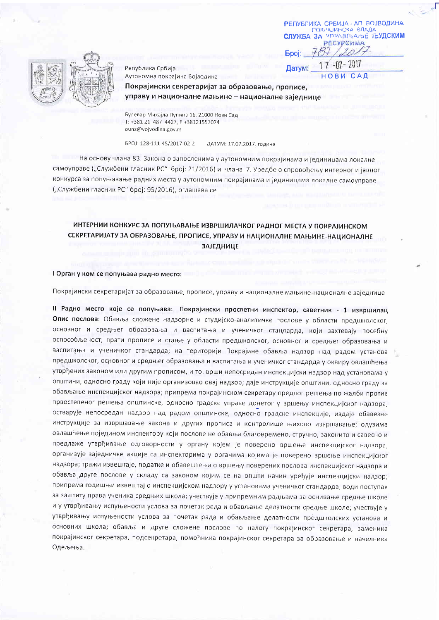РЕПУБЛИКА СРБИЈА - АП ВОЈВОДИНА ПОКРАЛИНСКА ВЛАДА **СЛУЖБА ЗА УПРАВЛЬАНЬЕ ЉУДСКИМ РЕСУРСИМА** 

Република Србија Аутономна покрајина Војводина

 $7 - 07 - 2017$ 1 Датум:

**Bpoi:** 

Покрајински секретаријат за образовање, прописе, управу и националне мањине - националне заједнице

Булевар Михајла Пупина 16, 21000 Нови Сад T: +381 21 487 4427, F:+38121557074 ounz@vojvodina.gov.rs

EPOJ: 128-111-45/2017-02-2 ДАТУМ: 17.07.2017. године

На основу члана 83. Закона о запосленима у аутономним покрајинама и јединицама локалне самоуправе ("Службени гласник РС" број: 21/2016) и члана 7. Уредбе о спровођењу интерног и јавног конкурса за попуњавање радних места у аутономним покрајинама и јединицама локалне самоуправе ("Службени гласник РС" број: 95/2016), оглашава се

### ИНТЕРНИИ КОНКУРС ЗА ПОПУЊАВАЊЕ ИЗВРШИЛАЧКОГ РАДНОГ МЕСТА У ПОКРАЈИНСКОМ СЕКРЕТАРИЈАТУ ЗА ОБРАЗОВАЊЕ, ПРОПИСЕ, УПРАВУ И НАЦИОНАЛНЕ МАЊИНЕ-НАЦИОНАЛНЕ **ЗАЈЕДНИЦЕ**

#### I Орган у ком се попуњава радно место:

Покрајински секретаријат за образовање, прописе, управу и националне мањине-националне заједнице

II Радно место које се попуњава: Покрајински просветни инспектор, саветник - 1 извршилац Опис послова: Обавља сложене надзорне и студијско-аналитичке послове у области предшколског, основног и средњег образовања и васпитања и ученичког стандарда, који захтевају посебну оспособљеност; прати прописе и стање у области предшколског, основног и средњег образовања и васпитања и ученичког стандарда; на територији Покрајине обавља надзор над радом установа предшколског, основног и средњег образовања и васпитања и ученичког стандарда у оквиру овлашћења утврђених законом или другим прописом, и то: врши непосредан инспекцијски надзор над установама у општини, односно граду који није организовао овај надзор; даје инструкције општини, односно граду за обављање инспекцијског надзора; припрема покрајинском секретару предлог решења по жалби против првостепеног решења општинске, односно градске управе донетог у вршењу инспекцијског надзора; остварује непосредан надзор над радом општинске, односно градске инспекције, издаје обавезне инструкције за извршавање закона и других прописа и контролише њихово извршавање; одузима овлашћење поједином инспектору који послове не обавља благовремено, стручно, законито и савесно и предлаже утврђивање одговорности у органу којем је поверено вршење инспекцијског надзора; организује заједничке акције са инспекторима у органима којима је поверено вршење инспекцијског надзора; тражи извештаје, податке и обавештења о вршењу поверених послова инспекцијског надзора и обавља друге послове у складу са законом којим се на општи начин уређује инспекцијски надзор; припрема годишњи извештај о инспекцијском надзору у установама ученичког стандарда; води поступак за заштиту права ученика средњих школа; учествује у припремним радњама за оснивање средње школе и у утврђивању испуњености услова за почетак рада и обављање делатности средње школе; учествује у утврђивању испуњености услова за почетак рада и обављање делатности предшколских установа и основних школа; обавља и друге сложене послове по налогу покрајинског секретара, заменика покрајинског секретара, подсекретара, помоћника покрајинског секретара за образовање и начелника Одељења.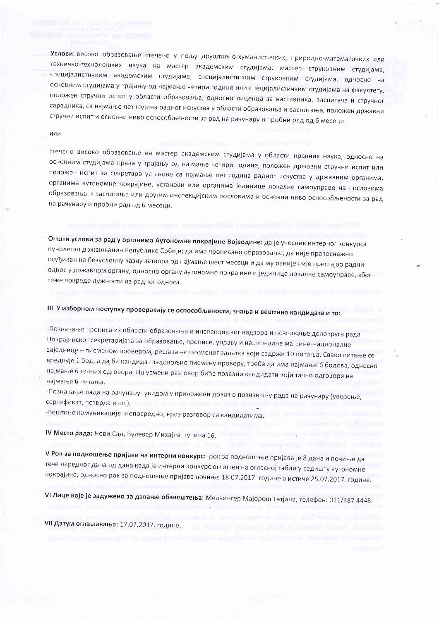Услови: високо образовање стечено у пољу друштвено-хуманистичких, природно-математичких или техничко-технолошких наука на мастер академским студијама, мастер струковним студијама, специјалистичким академским студијама, специјалистичким струковним студијама, односно на основним студијама у трајању од најмање четири године или специјалистичким студијама на факултету, положен стручни испит у области образовања, односно лиценца за наставника, васпитача и стручног сарадника, са најмање пет година радног искуства у области образовања и васпитања, положен државни стручни испит и основни ниво оспособљености за рад на рачунару и пробни рад од 6 месеци.

#### или

стечено високо образовање на мастер академским студијама у области правних наука, односно на основним студијама права у трајању од најмање четири године, положен државни стручни испит или положен испит за секретара установе са најмање пет година радног искуства у државним органима, органима аутономне покрајине, установи или органима јединице локалне самоуправе на пословима образовања и васпитања или другим инспекцијским пословима и основни ниво оспособљености за рад на рачунару и пробни рад од 6 месеци.

Општи услови за рад у органима Аутономне покрајине Војводине: да је учесник интерног конкурса пунолетан држављанин Републике Србије; да има прописано образовање, да није правоснажно осуђиван на безусловну казну затвора од најмање шест месеци и да му раније није престајао радни однос у државном органу, односно органу аутономне покрајине и јединице локалне самоуправе, због теже повреде дужности из радног односа.

### III У изборном поступку проверавају се оспособљености, знања и вештина кандидата и то:

-Познавање прописа из области образовања и инспекцијског надзора и познавање делокруга рада Покрајинског секретаријата за образовање, прописе, управу и националне мањине-националне заједнице - писменом провером, решавање писменог задатка који садржи 10 питања. Свако питање се вреднује 1 бод, а да би кандидат задовољио писмену проверу, треба да има најмање 6 бодова, односно најмање 6 тачних одговора. На усмени разговор биће позвани кандидати који тачно одговоре на најмање 6 питања.

-Познавање рада на рачунару-увидом у приложени доказ о познавању рада на рачунару (уверење, сертификат, потврда и сл.),

-Вештине комуникације -непосредно, кроз разговор са кандидатима.

IV Место рада: Нови Сад, Булевар Михајла Пупина 16.

V Рок за подношење пријаве на интерни конкурс: рок за подношење пријава је 8 дана и почиње да тече наредног дана од дана када је интерни конкурс оглашен на огласној табли у седишту аутономне покрајине, односно рок за подношење пријава почиње 18.07.2017. године а истиче 25.07.2017. године.

VI Лице које је задужено за давање обавештења: Мелвингер Мајорош Татјана, телефон: 021/487 4448.

VII Датум оглашавања: 17.07.2017. године.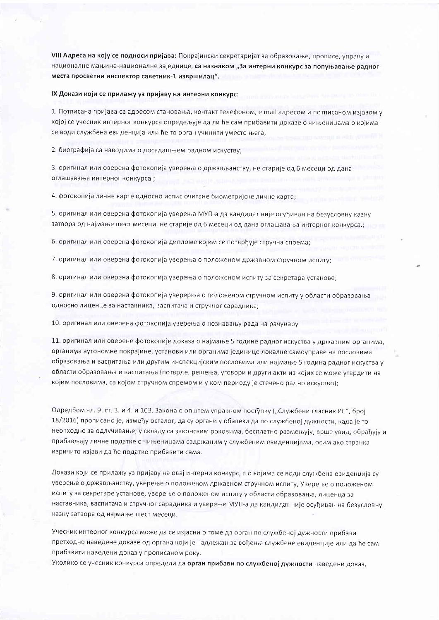VIII Адреса на коју се подноси пријава: Покрајински секретаријат за образовање, прописе, управу и националне мањине-националне заједнице, са назнаком "За интерни конкурс за попуњавање радног места просветни инспектор саветник-1 извршилац".

#### IX Докази који се прилажу уз пријаву на интерни конкурс:

1. Потписана пријава са адресом становања, контакт телефоном, е mail адресом и потписаном изјавом у којој се учесник интерног конкурса опредељује да ли ће сам прибавити доказе о чињеницама о којима се води службена евиденција или ће то орган учинити уместо њега;

2. биографија са наводима о досадашњем радном искуству;

3. оригинал или оверена фотокопија уверења о држављанству, не старије од 6 месеци од дана оглашавања интерног конкурса.;

4. фотокопија личне карте односно испис очитане биометријске личне карте;

5. оригинал или оверена фотокопија уверења МУП-а да кандидат није осуђиван на безусловну казну затвора од најмање шест месеци, не старије од 6 месеци од дана оглашавања интерног конкурса.;

6. оригинал или оверена фотокопија дипломе којим се потврђује стручна спрема;

7. оригинал или оверена фотокопија уверења о положеном државном стручном испиту;

8. оригинал или оверена фотокопија уверења о положеном испиту за секретара установе;

9. оригинал или оверена фотокопија уверерња о положеном стручном испиту у области образовања односно лиценце за наставника, васпитача и стручног сарадника;

10. оригинал или оверена фотокопија уверења о познавању рада на рачунару

11. оригинал или оверене фотокопије доказа о најмање 5 године радног искуства у државним органима, органима аутономне покрајине, установи или органима јединице локалне самоуправе на пословима образовања и васпитања или другим инспекцијским пословима или најмање 5 година радног искуства у области образовања и васпитања (потврде, решења, уговори и други акти из којих се може утврдити на којим пословима, са којом стручном спремом и у ком периоду је стечено радно искуство);

Одредбом чл. 9. ст. 3. и 4. и 103. Закона о општем управном поступку ("Службени гласник РС", број 18/2016) прописано је, између осталог, да су органи у обавези да по службеној дужности, када је то неопходно за одлучивање, у складу са законским роковима, бесплатно размењују, врше увид, обрађују и прибављају личне податке о чињеницама садржаним у службеним евиденцијама, осим ако странка изричито изјави да ће податке прибавити сама.

Докази који се прилажу уз пријаву на овај интерни конкурс, а о којима се води службена евиденција су уверење о држављанству, уверење о положеном државном стручном испиту, Уверење о положеном испиту за секретаре установе, уверење о положеном испиту у области образовања, лиценца за наставника, васпитача и стручног сарадника и уверење МУП-а да кандидат није осуђиван на безусловну казну затвора од најмање шест месеци.

Учесник интерног конкурса може да се изјасни о томе да орган по службеној дужности прибави претходно наведене доказе од органа који је надлежан за вођење службене евиденције или да ће сам прибавити наведени доказ у прописаном року.

Уколико се учесник конкурса определи да орган прибави по службеној дужности наведени доказ,